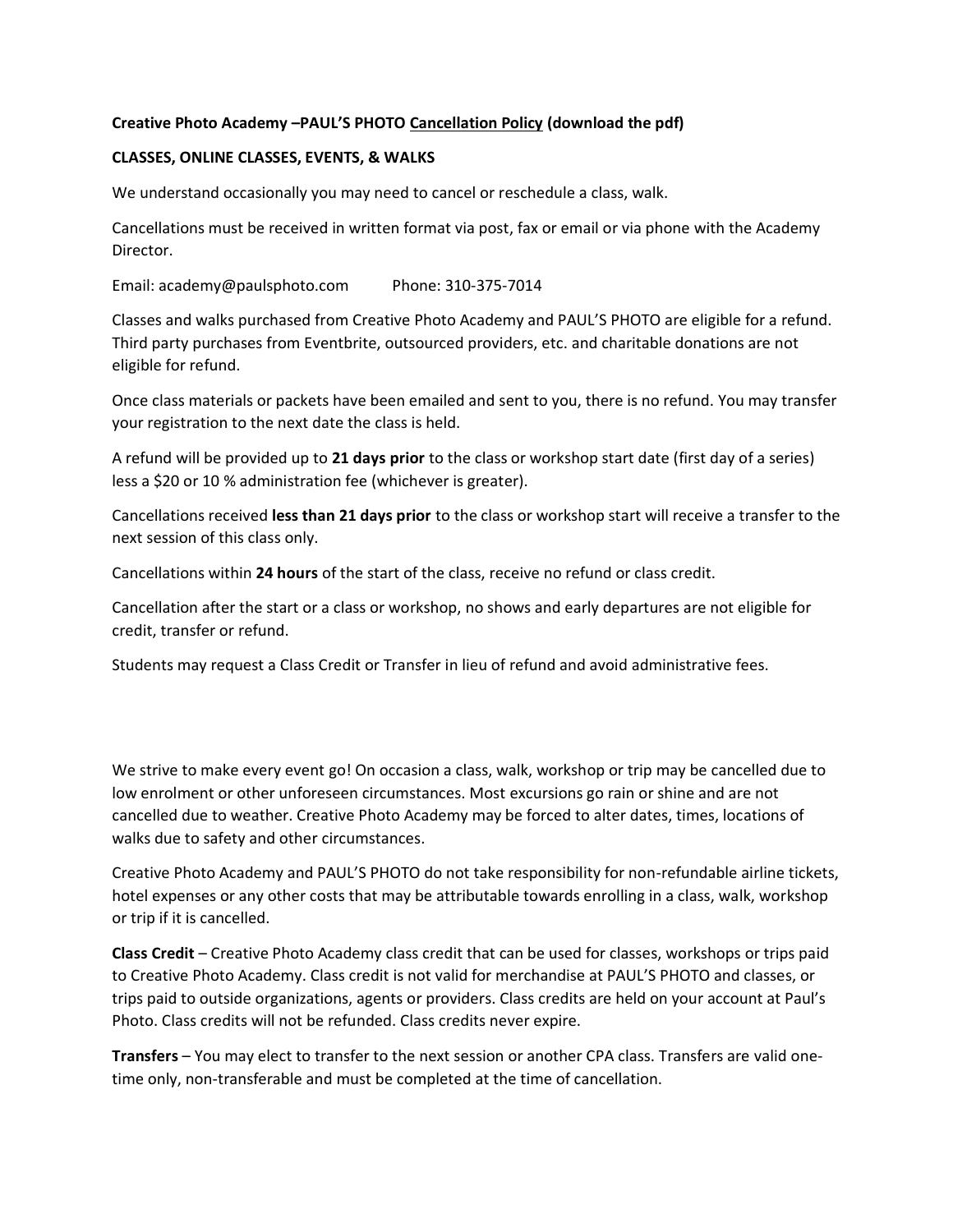## **Creative Photo Academy –PAUL'S PHOTO Cancellation Policy (download the pdf)**

## **CLASSES, ONLINE CLASSES, EVENTS, & WALKS**

We understand occasionally you may need to cancel or reschedule a class, walk.

Cancellations must be received in written format via post, fax or email or via phone with the Academy Director.

Email: academy@paulsphoto.com Phone: 310-375-7014

Classes and walks purchased from Creative Photo Academy and PAUL'S PHOTO are eligible for a refund. Third party purchases from Eventbrite, outsourced providers, etc. and charitable donations are not eligible for refund.

Once class materials or packets have been emailed and sent to you, there is no refund. You may transfer your registration to the next date the class is held.

A refund will be provided up to **21 days prior** to the class or workshop start date (first day of a series) less a \$20 or 10 % administration fee (whichever is greater).

Cancellations received **less than 21 days prior** to the class or workshop start will receive a transfer to the next session of this class only.

Cancellations within **24 hours** of the start of the class, receive no refund or class credit.

Cancellation after the start or a class or workshop, no shows and early departures are not eligible for credit, transfer or refund.

Students may request a Class Credit or Transfer in lieu of refund and avoid administrative fees.

We strive to make every event go! On occasion a class, walk, workshop or trip may be cancelled due to low enrolment or other unforeseen circumstances. Most excursions go rain or shine and are not cancelled due to weather. Creative Photo Academy may be forced to alter dates, times, locations of walks due to safety and other circumstances.

Creative Photo Academy and PAUL'S PHOTO do not take responsibility for non-refundable airline tickets, hotel expenses or any other costs that may be attributable towards enrolling in a class, walk, workshop or trip if it is cancelled.

**Class Credit** – Creative Photo Academy class credit that can be used for classes, workshops or trips paid to Creative Photo Academy. Class credit is not valid for merchandise at PAUL'S PHOTO and classes, or trips paid to outside organizations, agents or providers. Class credits are held on your account at Paul's Photo. Class credits will not be refunded. Class credits never expire.

**Transfers** – You may elect to transfer to the next session or another CPA class. Transfers are valid onetime only, non-transferable and must be completed at the time of cancellation.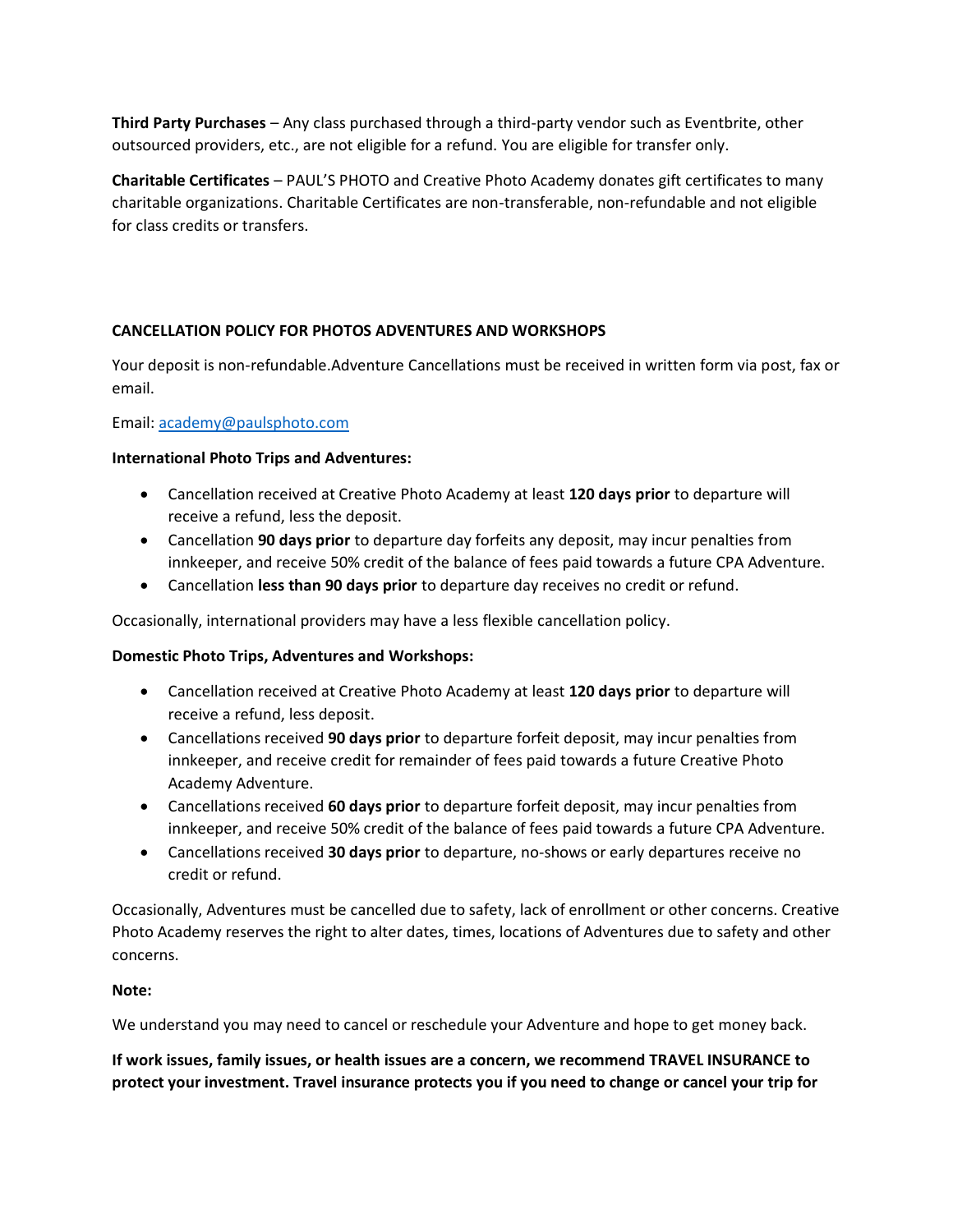**Third Party Purchases** – Any class purchased through a third-party vendor such as Eventbrite, other outsourced providers, etc., are not eligible for a refund. You are eligible for transfer only.

**Charitable Certificates** – PAUL'S PHOTO and Creative Photo Academy donates gift certificates to many charitable organizations. Charitable Certificates are non-transferable, non-refundable and not eligible for class credits or transfers.

# **CANCELLATION POLICY FOR PHOTOS ADVENTURES AND WORKSHOPS**

Your deposit is non-refundable.Adventure Cancellations must be received in written form via post, fax or email.

Email: [academy@paulsphoto.com](mailto:academy@paulsphoto.com)

#### **International Photo Trips and Adventures:**

- Cancellation received at Creative Photo Academy at least **120 days prior** to departure will receive a refund, less the deposit.
- Cancellation **90 days prior** to departure day forfeits any deposit, may incur penalties from innkeeper, and receive 50% credit of the balance of fees paid towards a future CPA Adventure.
- Cancellation **less than 90 days prior** to departure day receives no credit or refund.

Occasionally, international providers may have a less flexible cancellation policy.

#### **Domestic Photo Trips, Adventures and Workshops:**

- Cancellation received at Creative Photo Academy at least **120 days prior** to departure will receive a refund, less deposit.
- Cancellations received **90 days prior** to departure forfeit deposit, may incur penalties from innkeeper, and receive credit for remainder of fees paid towards a future Creative Photo Academy Adventure.
- Cancellations received **60 days prior** to departure forfeit deposit, may incur penalties from innkeeper, and receive 50% credit of the balance of fees paid towards a future CPA Adventure.
- Cancellations received **30 days prior** to departure, no-shows or early departures receive no credit or refund.

Occasionally, Adventures must be cancelled due to safety, lack of enrollment or other concerns. Creative Photo Academy reserves the right to alter dates, times, locations of Adventures due to safety and other concerns.

#### **Note:**

We understand you may need to cancel or reschedule your Adventure and hope to get money back.

**If work issues, family issues, or health issues are a concern, we recommend TRAVEL INSURANCE to protect your investment. Travel insurance protects you if you need to change or cancel your trip for**